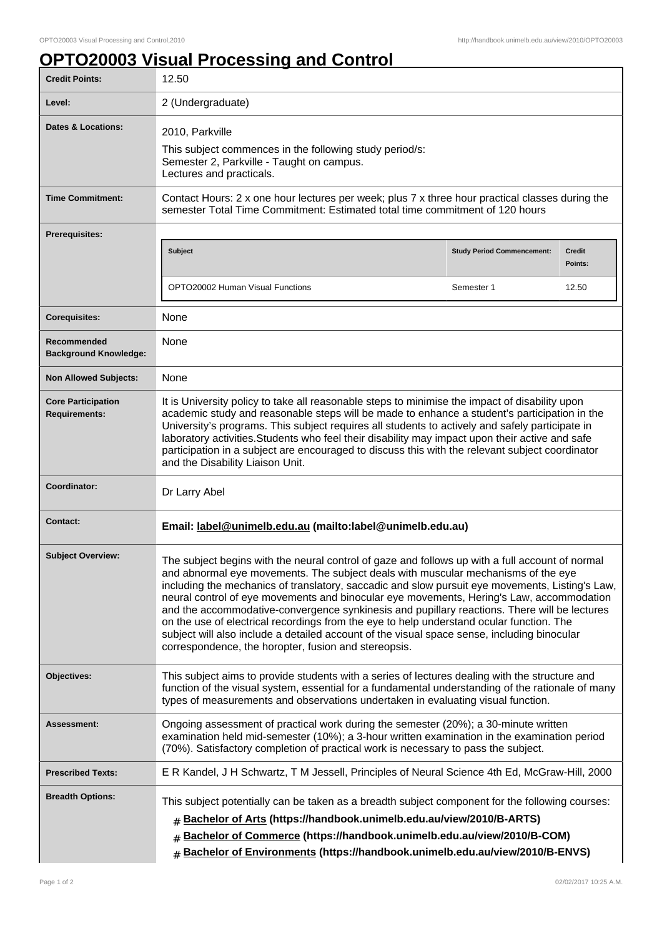## **OPTO20003 Visual Processing and Control**

| <b>Credit Points:</b>                             | 12.50                                                                                                                                                                                                                                                                                                                                                                                                                                                                                                                                                                                                                                                                                                                                  |                                                                                               |                          |  |
|---------------------------------------------------|----------------------------------------------------------------------------------------------------------------------------------------------------------------------------------------------------------------------------------------------------------------------------------------------------------------------------------------------------------------------------------------------------------------------------------------------------------------------------------------------------------------------------------------------------------------------------------------------------------------------------------------------------------------------------------------------------------------------------------------|-----------------------------------------------------------------------------------------------|--------------------------|--|
| Level:                                            | 2 (Undergraduate)                                                                                                                                                                                                                                                                                                                                                                                                                                                                                                                                                                                                                                                                                                                      |                                                                                               |                          |  |
| Dates & Locations:                                | 2010, Parkville<br>This subject commences in the following study period/s:<br>Semester 2, Parkville - Taught on campus.<br>Lectures and practicals.                                                                                                                                                                                                                                                                                                                                                                                                                                                                                                                                                                                    |                                                                                               |                          |  |
| <b>Time Commitment:</b>                           | Contact Hours: 2 x one hour lectures per week; plus 7 x three hour practical classes during the<br>semester Total Time Commitment: Estimated total time commitment of 120 hours                                                                                                                                                                                                                                                                                                                                                                                                                                                                                                                                                        |                                                                                               |                          |  |
| Prerequisites:                                    |                                                                                                                                                                                                                                                                                                                                                                                                                                                                                                                                                                                                                                                                                                                                        |                                                                                               |                          |  |
|                                                   | <b>Subject</b>                                                                                                                                                                                                                                                                                                                                                                                                                                                                                                                                                                                                                                                                                                                         | <b>Study Period Commencement:</b>                                                             | <b>Credit</b><br>Points: |  |
|                                                   | OPTO20002 Human Visual Functions                                                                                                                                                                                                                                                                                                                                                                                                                                                                                                                                                                                                                                                                                                       | Semester 1                                                                                    | 12.50                    |  |
| <b>Corequisites:</b>                              | None                                                                                                                                                                                                                                                                                                                                                                                                                                                                                                                                                                                                                                                                                                                                   |                                                                                               |                          |  |
| Recommended<br><b>Background Knowledge:</b>       | None                                                                                                                                                                                                                                                                                                                                                                                                                                                                                                                                                                                                                                                                                                                                   |                                                                                               |                          |  |
| <b>Non Allowed Subjects:</b>                      | None                                                                                                                                                                                                                                                                                                                                                                                                                                                                                                                                                                                                                                                                                                                                   |                                                                                               |                          |  |
| <b>Core Participation</b><br><b>Requirements:</b> | It is University policy to take all reasonable steps to minimise the impact of disability upon<br>academic study and reasonable steps will be made to enhance a student's participation in the<br>University's programs. This subject requires all students to actively and safely participate in<br>laboratory activities. Students who feel their disability may impact upon their active and safe<br>participation in a subject are encouraged to discuss this with the relevant subject coordinator<br>and the Disability Liaison Unit.                                                                                                                                                                                            |                                                                                               |                          |  |
| Coordinator:                                      | Dr Larry Abel                                                                                                                                                                                                                                                                                                                                                                                                                                                                                                                                                                                                                                                                                                                          |                                                                                               |                          |  |
| <b>Contact:</b>                                   | Email: label@unimelb.edu.au (mailto:label@unimelb.edu.au)                                                                                                                                                                                                                                                                                                                                                                                                                                                                                                                                                                                                                                                                              |                                                                                               |                          |  |
| <b>Subject Overview:</b>                          | The subject begins with the neural control of gaze and follows up with a full account of normal<br>and abnormal eye movements. The subject deals with muscular mechanisms of the eye<br>including the mechanics of translatory, saccadic and slow pursuit eye movements, Listing's Law,<br>neural control of eye movements and binocular eye movements, Hering's Law, accommodation<br>and the accommodative-convergence synkinesis and pupillary reactions. There will be lectures<br>on the use of electrical recordings from the eye to help understand ocular function. The<br>subject will also include a detailed account of the visual space sense, including binocular<br>correspondence, the horopter, fusion and stereopsis. |                                                                                               |                          |  |
| Objectives:                                       | This subject aims to provide students with a series of lectures dealing with the structure and<br>function of the visual system, essential for a fundamental understanding of the rationale of many<br>types of measurements and observations undertaken in evaluating visual function.                                                                                                                                                                                                                                                                                                                                                                                                                                                |                                                                                               |                          |  |
| <b>Assessment:</b>                                | Ongoing assessment of practical work during the semester (20%); a 30-minute written<br>examination held mid-semester (10%); a 3-hour written examination in the examination period<br>(70%). Satisfactory completion of practical work is necessary to pass the subject.                                                                                                                                                                                                                                                                                                                                                                                                                                                               |                                                                                               |                          |  |
| <b>Prescribed Texts:</b>                          |                                                                                                                                                                                                                                                                                                                                                                                                                                                                                                                                                                                                                                                                                                                                        | E R Kandel, J H Schwartz, T M Jessell, Principles of Neural Science 4th Ed, McGraw-Hill, 2000 |                          |  |
| <b>Breadth Options:</b>                           | This subject potentially can be taken as a breadth subject component for the following courses:<br>Bachelor of Arts (https://handbook.unimelb.edu.au/view/2010/B-ARTS)<br>#<br>Bachelor of Commerce (https://handbook.unimelb.edu.au/view/2010/B-COM)<br>Bachelor of Environments (https://handbook.unimelb.edu.au/view/2010/B-ENVS)<br>#                                                                                                                                                                                                                                                                                                                                                                                              |                                                                                               |                          |  |